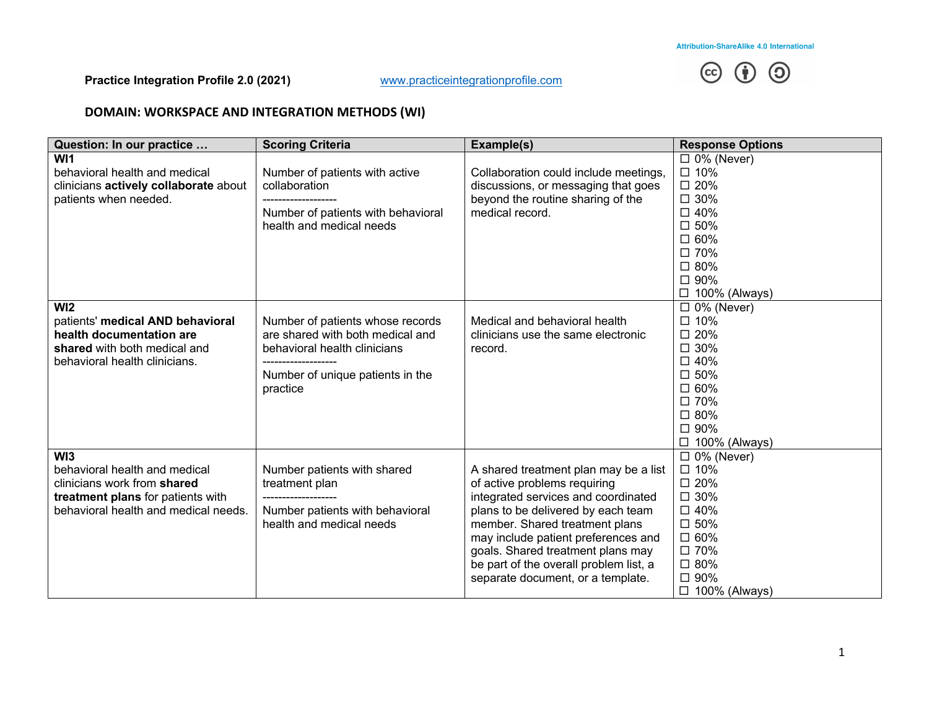

# **DOMAIN: WORKSPACE AND INTEGRATION METHODS (WI)**

| Question: In our practice                                                                                                                        | <b>Scoring Criteria</b>                                                                                                                                                    | Example(s)                                                                                                                                                                                                                                                                                                                                      | <b>Response Options</b>                                                                                                                                               |
|--------------------------------------------------------------------------------------------------------------------------------------------------|----------------------------------------------------------------------------------------------------------------------------------------------------------------------------|-------------------------------------------------------------------------------------------------------------------------------------------------------------------------------------------------------------------------------------------------------------------------------------------------------------------------------------------------|-----------------------------------------------------------------------------------------------------------------------------------------------------------------------|
| WI <sub>1</sub><br>behavioral health and medical<br>clinicians actively collaborate about<br>patients when needed.                               | Number of patients with active<br>collaboration<br>Number of patients with behavioral<br>health and medical needs                                                          | Collaboration could include meetings,<br>discussions, or messaging that goes<br>beyond the routine sharing of the<br>medical record.                                                                                                                                                                                                            | $\Box$ 0% (Never)<br>$\square$ 10%<br>$\square$ 20%<br>$\square$ 30%<br>$\square$ 40%<br>$\square$ 50%<br>$\square$ 60%<br>□ 70%<br>□ 80%<br>□ 90%<br>□ 100% (Always) |
| W <sub>12</sub><br>patients' medical AND behavioral<br>health documentation are<br>shared with both medical and<br>behavioral health clinicians. | Number of patients whose records<br>are shared with both medical and<br>behavioral health clinicians<br>------------------<br>Number of unique patients in the<br>practice | Medical and behavioral health<br>clinicians use the same electronic<br>record.                                                                                                                                                                                                                                                                  | $\Box$ 0% (Never)<br>$\square$ 10%<br>□ 20%<br>$\square$ 30%<br>$\square$ 40%<br>$\square$ 50%<br>$\square$ 60%<br>□ 70%<br>□ 80%<br>□ 90%<br>$\Box$ 100% (Always)    |
| WI3<br>behavioral health and medical<br>clinicians work from shared<br>treatment plans for patients with<br>behavioral health and medical needs. | Number patients with shared<br>treatment plan<br>--------------------<br>Number patients with behavioral<br>health and medical needs                                       | A shared treatment plan may be a list<br>of active problems requiring<br>integrated services and coordinated<br>plans to be delivered by each team<br>member. Shared treatment plans<br>may include patient preferences and<br>goals. Shared treatment plans may<br>be part of the overall problem list, a<br>separate document, or a template. | $\Box$ 0% (Never)<br>□ 10%<br>$\square$ 20%<br>$\square$ 30%<br>□ 40%<br>□ 50%<br>□ 60%<br>□ 70%<br>□ 80%<br>□ 90%<br>□ 100% (Always)                                 |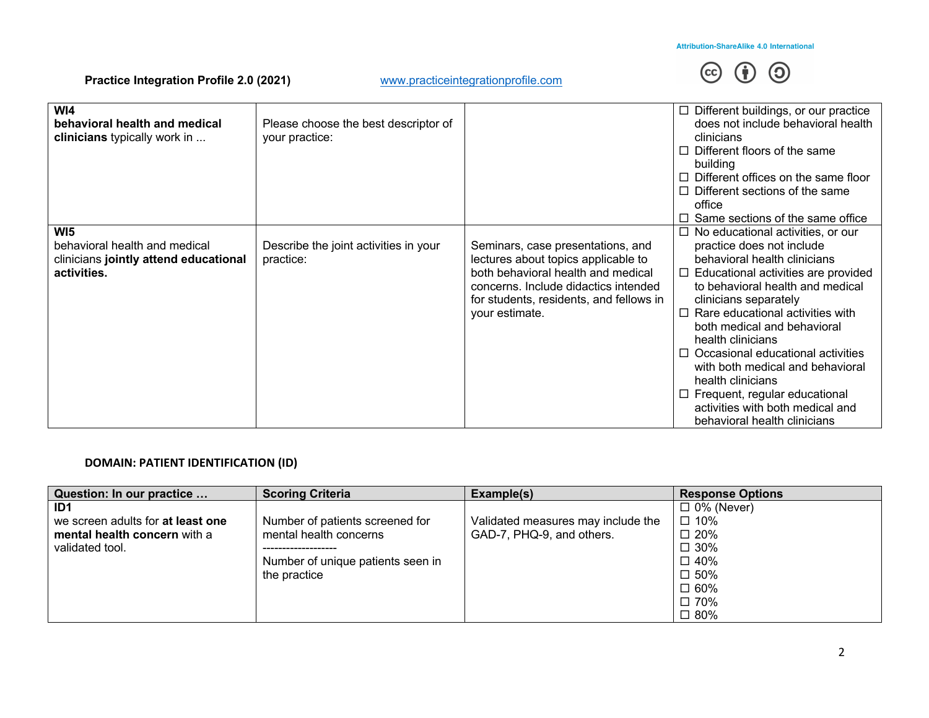

| W <sub>14</sub><br>behavioral health and medical<br>clinicians typically work in                         | Please choose the best descriptor of<br>your practice: |                                                                                                                                                                                                                     | $\Box$ Different buildings, or our practice<br>does not include behavioral health<br>clinicians<br>$\Box$ Different floors of the same<br>building<br>$\Box$ Different offices on the same floor                                                                                                                                                                                                                                                                                                                                 |
|----------------------------------------------------------------------------------------------------------|--------------------------------------------------------|---------------------------------------------------------------------------------------------------------------------------------------------------------------------------------------------------------------------|----------------------------------------------------------------------------------------------------------------------------------------------------------------------------------------------------------------------------------------------------------------------------------------------------------------------------------------------------------------------------------------------------------------------------------------------------------------------------------------------------------------------------------|
|                                                                                                          |                                                        |                                                                                                                                                                                                                     | $\Box$ Different sections of the same                                                                                                                                                                                                                                                                                                                                                                                                                                                                                            |
|                                                                                                          |                                                        |                                                                                                                                                                                                                     | office                                                                                                                                                                                                                                                                                                                                                                                                                                                                                                                           |
|                                                                                                          |                                                        |                                                                                                                                                                                                                     | $\Box$ Same sections of the same office                                                                                                                                                                                                                                                                                                                                                                                                                                                                                          |
| WI <sub>5</sub><br>behavioral health and medical<br>clinicians jointly attend educational<br>activities. | Describe the joint activities in your<br>practice:     | Seminars, case presentations, and<br>lectures about topics applicable to<br>both behavioral health and medical<br>concerns. Include didactics intended<br>for students, residents, and fellows in<br>your estimate. | $\Box$ No educational activities, or our<br>practice does not include<br>behavioral health clinicians<br>$\Box$ Educational activities are provided<br>to behavioral health and medical<br>clinicians separately<br>$\Box$ Rare educational activities with<br>both medical and behavioral<br>health clinicians<br>$\Box$ Occasional educational activities<br>with both medical and behavioral<br>health clinicians<br>$\Box$ Frequent, regular educational<br>activities with both medical and<br>behavioral health clinicians |

#### **DOMAIN: PATIENT IDENTIFICATION (ID)**

| Question: In our practice         | <b>Scoring Criteria</b>           | Example(s)                         | <b>Response Options</b> |
|-----------------------------------|-----------------------------------|------------------------------------|-------------------------|
| ID1                               |                                   |                                    | $\Box$ 0% (Never)       |
| we screen adults for at least one | Number of patients screened for   | Validated measures may include the | $\square$ 10%           |
| mental health concern with a      | mental health concerns            | GAD-7, PHQ-9, and others.          | $\Box$ 20%              |
| validated tool.                   |                                   |                                    | $\Box$ 30%              |
|                                   | Number of unique patients seen in |                                    | $\Box$ 40%              |
|                                   | the practice                      |                                    | $\square$ 50%           |
|                                   |                                   |                                    | $\square$ 60%           |
|                                   |                                   |                                    | $\square$ 70%           |
|                                   |                                   |                                    | $\square$ 80%           |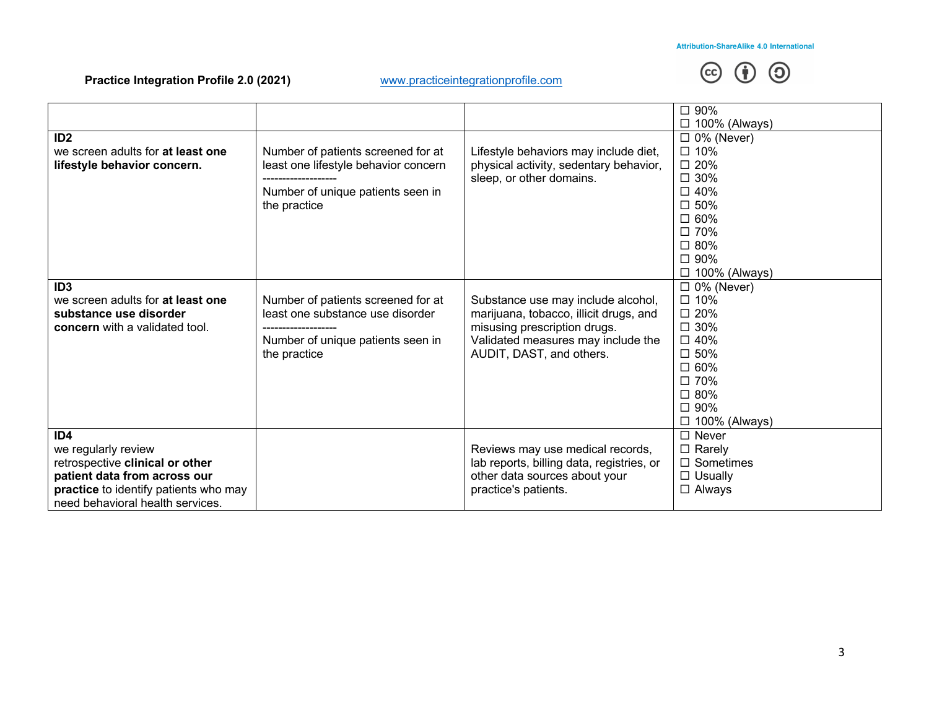# **@ 1 0**

|                                       |                                      |                                           | □ 90%                |
|---------------------------------------|--------------------------------------|-------------------------------------------|----------------------|
|                                       |                                      |                                           | $\Box$ 100% (Always) |
| ID2                                   |                                      |                                           | $\Box$ 0% (Never)    |
| we screen adults for at least one     | Number of patients screened for at   | Lifestyle behaviors may include diet,     | $\square$ 10%        |
| lifestyle behavior concern.           | least one lifestyle behavior concern | physical activity, sedentary behavior,    | □ 20%                |
|                                       |                                      | sleep, or other domains.                  | $\square$ 30%        |
|                                       | Number of unique patients seen in    |                                           | $\square$ 40%        |
|                                       | the practice                         |                                           | □ 50%                |
|                                       |                                      |                                           | □ 60%                |
|                                       |                                      |                                           | □ 70%                |
|                                       |                                      |                                           | □ 80%                |
|                                       |                                      |                                           | □ 90%                |
|                                       |                                      |                                           | $\Box$ 100% (Always) |
| ID <sub>3</sub>                       |                                      |                                           | $\Box$ 0% (Never)    |
| we screen adults for at least one     | Number of patients screened for at   | Substance use may include alcohol,        | $\square$ 10%        |
| substance use disorder                | least one substance use disorder     | marijuana, tobacco, illicit drugs, and    | $\square$ 20%        |
| <b>concern</b> with a validated tool. |                                      | misusing prescription drugs.              | $\square$ 30%        |
|                                       | Number of unique patients seen in    | Validated measures may include the        | □ 40%                |
|                                       | the practice                         | AUDIT, DAST, and others.                  | □ 50%                |
|                                       |                                      |                                           | □ 60%                |
|                                       |                                      |                                           | □ 70%                |
|                                       |                                      |                                           | □ 80%                |
|                                       |                                      |                                           | □ 90%                |
|                                       |                                      |                                           | $\Box$ 100% (Always) |
| ID <sub>4</sub>                       |                                      |                                           | $\Box$ Never         |
| we regularly review                   |                                      | Reviews may use medical records,          | $\Box$ Rarely        |
| retrospective clinical or other       |                                      | lab reports, billing data, registries, or | $\Box$ Sometimes     |
| patient data from across our          |                                      | other data sources about your             | $\Box$ Usually       |
| practice to identify patients who may |                                      | practice's patients.                      | $\Box$ Always        |
| need behavioral health services.      |                                      |                                           |                      |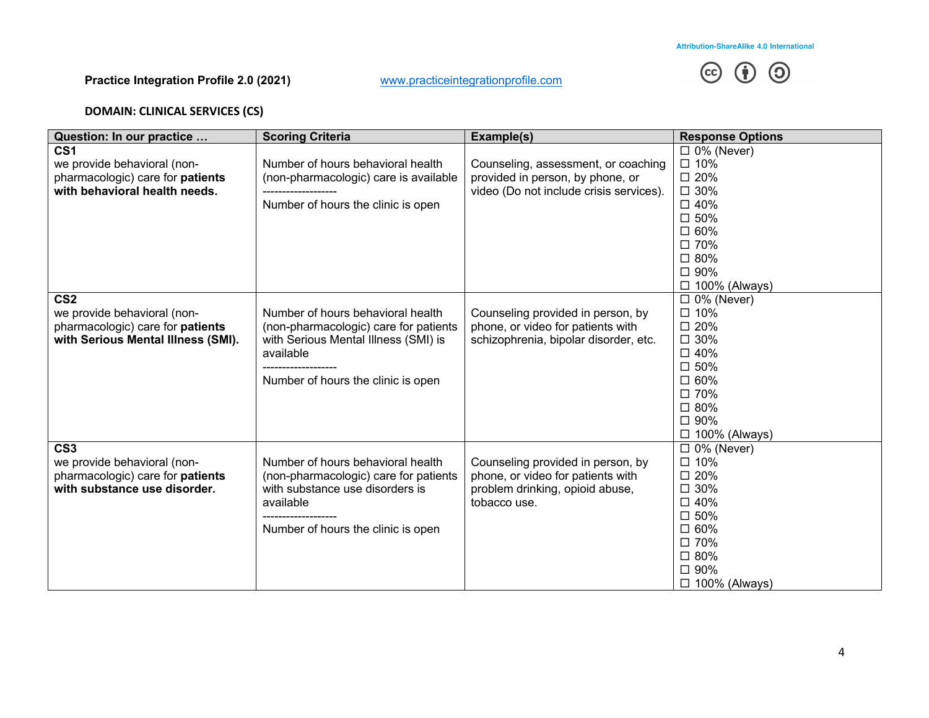

# **DOMAIN: CLINICAL SERVICES (CS)**

| Question: In our practice          | <b>Scoring Criteria</b>               | Example(s)                              | <b>Response Options</b> |
|------------------------------------|---------------------------------------|-----------------------------------------|-------------------------|
| CS <sub>1</sub>                    |                                       |                                         | $\Box$ 0% (Never)       |
| we provide behavioral (non-        | Number of hours behavioral health     | Counseling, assessment, or coaching     | $\square$ 10%           |
| pharmacologic) care for patients   | (non-pharmacologic) care is available | provided in person, by phone, or        | □ 20%                   |
| with behavioral health needs.      |                                       | video (Do not include crisis services). | $\square$ 30%           |
|                                    | Number of hours the clinic is open    |                                         | $\square$ 40%           |
|                                    |                                       |                                         | □ 50%                   |
|                                    |                                       |                                         | □ 60%                   |
|                                    |                                       |                                         | □ 70%                   |
|                                    |                                       |                                         | □ 80%                   |
|                                    |                                       |                                         | □ 90%                   |
|                                    |                                       |                                         | $\Box$ 100% (Always)    |
| CS <sub>2</sub>                    |                                       |                                         | $\Box$ 0% (Never)       |
| we provide behavioral (non-        | Number of hours behavioral health     | Counseling provided in person, by       | □ 10%                   |
| pharmacologic) care for patients   | (non-pharmacologic) care for patients | phone, or video for patients with       | $\square$ 20%           |
| with Serious Mental Illness (SMI). | with Serious Mental Illness (SMI) is  | schizophrenia, bipolar disorder, etc.   | $\square$ 30%           |
|                                    | available                             |                                         | □ 40%                   |
|                                    |                                       |                                         | $\square$ 50%           |
|                                    | Number of hours the clinic is open    |                                         | □ 60%                   |
|                                    |                                       |                                         | □ 70%                   |
|                                    |                                       |                                         | □ 80%                   |
|                                    |                                       |                                         | □ 90%                   |
|                                    |                                       |                                         | $\Box$ 100% (Always)    |
| CS <sub>3</sub>                    |                                       |                                         | $\Box$ 0% (Never)       |
| we provide behavioral (non-        | Number of hours behavioral health     | Counseling provided in person, by       | □ 10%                   |
| pharmacologic) care for patients   | (non-pharmacologic) care for patients | phone, or video for patients with       | $\square$ 20%           |
| with substance use disorder.       | with substance use disorders is       | problem drinking, opioid abuse,         | $\square$ 30%           |
|                                    | available                             | tobacco use.                            | $\square$ 40%           |
|                                    |                                       |                                         | □ 50%                   |
|                                    | Number of hours the clinic is open    |                                         | $\square$ 60%           |
|                                    |                                       |                                         | □ 70%                   |
|                                    |                                       |                                         | □ 80%                   |
|                                    |                                       |                                         | □ 90%                   |
|                                    |                                       |                                         | $\Box$ 100% (Always)    |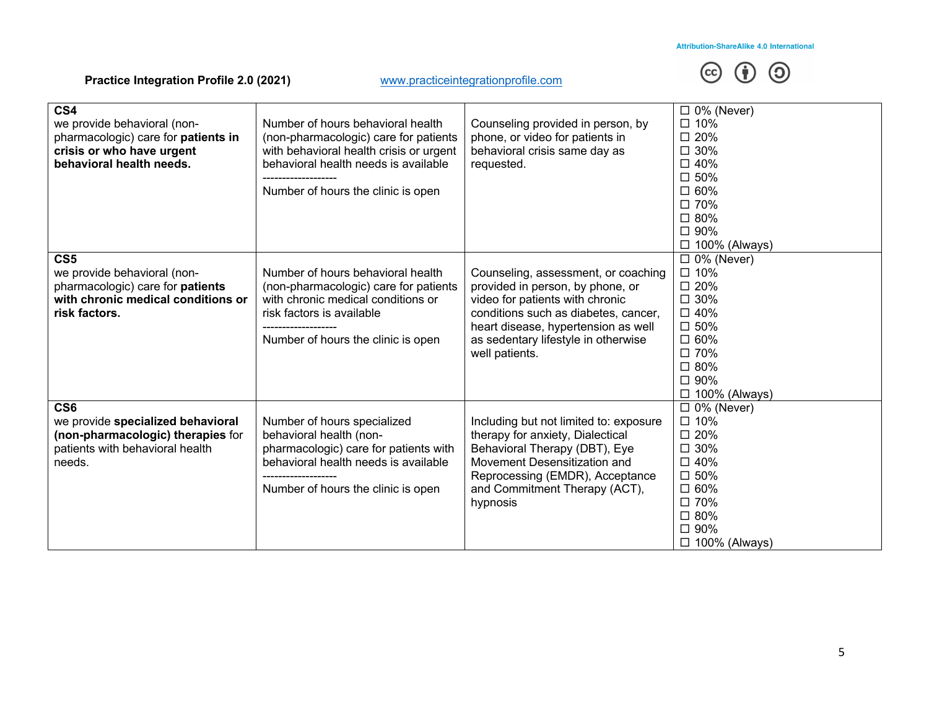

| CS <sub>4</sub><br>we provide behavioral (non-<br>pharmacologic) care for patients in<br>crisis or who have urgent<br>behavioral health needs. | Number of hours behavioral health<br>(non-pharmacologic) care for patients<br>with behavioral health crisis or urgent<br>behavioral health needs is available<br>Number of hours the clinic is open | Counseling provided in person, by<br>phone, or video for patients in<br>behavioral crisis same day as<br>requested.                                                                                                                                | $\Box$ 0% (Never)<br>□ 10%<br>$\square$ 20%<br>$\square$ 30%<br>$\square$ 40%<br>$\square$ 50%<br>$\square$ 60%<br>□ 70%<br>□ 80%<br>□ 90%<br>$\Box$ 100% (Always) |
|------------------------------------------------------------------------------------------------------------------------------------------------|-----------------------------------------------------------------------------------------------------------------------------------------------------------------------------------------------------|----------------------------------------------------------------------------------------------------------------------------------------------------------------------------------------------------------------------------------------------------|--------------------------------------------------------------------------------------------------------------------------------------------------------------------|
| CS <sub>5</sub><br>we provide behavioral (non-<br>pharmacologic) care for patients<br>with chronic medical conditions or<br>risk factors.      | Number of hours behavioral health<br>(non-pharmacologic) care for patients<br>with chronic medical conditions or<br>risk factors is available<br>Number of hours the clinic is open                 | Counseling, assessment, or coaching<br>provided in person, by phone, or<br>video for patients with chronic<br>conditions such as diabetes, cancer,<br>heart disease, hypertension as well<br>as sedentary lifestyle in otherwise<br>well patients. | $\Box$ 0% (Never)<br>$\square$ 10%<br>$\square$ 20%<br>$\square$ 30%<br>$\square$ 40%<br>□ 50%<br>$\square$ 60%<br>□ 70%<br>□ 80%<br>□ 90%<br>$\Box$ 100% (Always) |
| CS <sub>6</sub><br>we provide specialized behavioral<br>(non-pharmacologic) therapies for<br>patients with behavioral health<br>needs.         | Number of hours specialized<br>behavioral health (non-<br>pharmacologic) care for patients with<br>behavioral health needs is available<br>Number of hours the clinic is open                       | Including but not limited to: exposure<br>therapy for anxiety, Dialectical<br>Behavioral Therapy (DBT), Eye<br>Movement Desensitization and<br>Reprocessing (EMDR), Acceptance<br>and Commitment Therapy (ACT),<br>hypnosis                        | $\Box$ 0% (Never)<br>$\square$ 10%<br>$\square$ 20%<br>$\square$ 30%<br>□ 40%<br>□ 50%<br>$\square$ 60%<br>□ 70%<br>□ 80%<br>□ 90%<br>$\Box$ 100% (Always)         |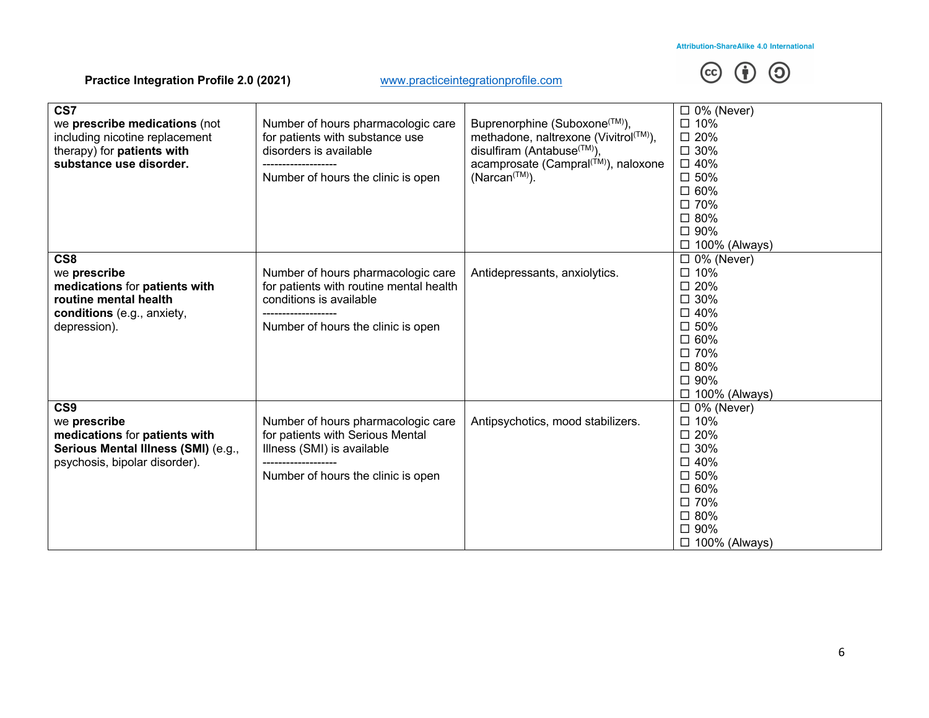

| CS7<br>we prescribe medications (not<br>including nicotine replacement<br>therapy) for <b>patients with</b><br>substance use disorder. | Number of hours pharmacologic care<br>for patients with substance use<br>disorders is available<br>Number of hours the clinic is open          | Buprenorphine (Suboxone <sup>(™)</sup> ),<br>methadone, naltrexone (Vivitrol(TM),<br>disulfiram (Antabuse <sup>(TM)</sup> ),<br>acamprosate (Campral <sup>(™)</sup> ), naloxone<br>$(Narcan(TM))$ . | $\Box$ 0% (Never)<br>□ 10%<br>$\square$ 20%<br>$\square$ 30%<br>□ 40%<br>$\square$ 50%<br>$\square$ 60%<br>□ 70%<br>□ 80%<br>□ 90%<br>$\Box$ 100% (Always)            |
|----------------------------------------------------------------------------------------------------------------------------------------|------------------------------------------------------------------------------------------------------------------------------------------------|-----------------------------------------------------------------------------------------------------------------------------------------------------------------------------------------------------|-----------------------------------------------------------------------------------------------------------------------------------------------------------------------|
| CS8<br>we prescribe<br>medications for patients with<br>routine mental health<br>conditions (e.g., anxiety,<br>depression).            | Number of hours pharmacologic care<br>for patients with routine mental health<br>conditions is available<br>Number of hours the clinic is open | Antidepressants, anxiolytics.                                                                                                                                                                       | $\Box$ 0% (Never)<br>$\square$ 10%<br>□ 20%<br>$\square$ 30%<br>$\square$ 40%<br>$\square$ 50%<br>$\square$ 60%<br>□ 70%<br>□ 80%<br>□ 90%<br>$\square$ 100% (Always) |
| CS9<br>we prescribe<br>medications for patients with<br>Serious Mental Illness (SMI) (e.g.,<br>psychosis, bipolar disorder).           | Number of hours pharmacologic care<br>for patients with Serious Mental<br>Illness (SMI) is available<br>Number of hours the clinic is open     | Antipsychotics, mood stabilizers.                                                                                                                                                                   | $\Box$ 0% (Never)<br>□ 10%<br>□ 20%<br>$\square$ 30%<br>$\square$ 40%<br>$\square$ 50%<br>$\square$ 60%<br>□ 70%<br>□ 80%<br>□ 90%<br>□ 100% (Always)                 |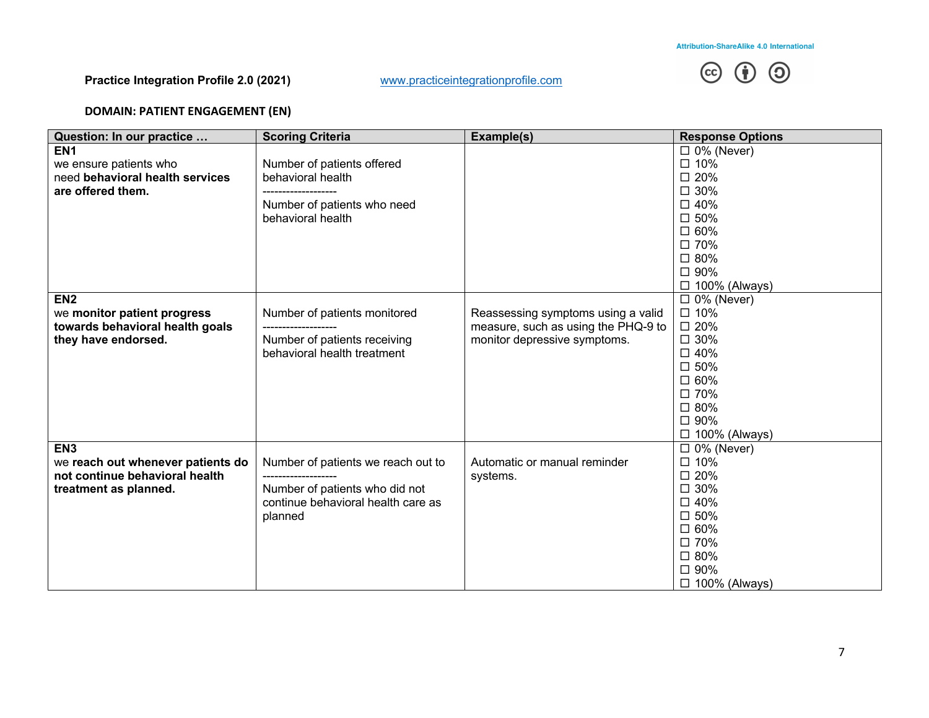

# **DOMAIN: PATIENT ENGAGEMENT (EN)**

| Question: In our practice         | <b>Scoring Criteria</b>                                              | Example(s)                          | <b>Response Options</b>        |
|-----------------------------------|----------------------------------------------------------------------|-------------------------------------|--------------------------------|
| EN <sub>1</sub>                   |                                                                      |                                     | $\Box$ 0% (Never)              |
| we ensure patients who            | Number of patients offered                                           |                                     | □ 10%                          |
| need behavioral health services   | behavioral health                                                    |                                     | □ 20%                          |
| are offered them.                 | -------------------                                                  |                                     | □ 30%                          |
|                                   | Number of patients who need                                          |                                     | $\square$ 40%                  |
|                                   | behavioral health                                                    |                                     | □ 50%                          |
|                                   |                                                                      |                                     | □ 60%                          |
|                                   |                                                                      |                                     | □ 70%                          |
|                                   |                                                                      |                                     | □ 80%                          |
|                                   |                                                                      |                                     | □ 90%                          |
|                                   |                                                                      |                                     | □ 100% (Always)                |
| EN <sub>2</sub>                   |                                                                      |                                     | $\Box$ 0% (Never)              |
| we monitor patient progress       | Number of patients monitored                                         | Reassessing symptoms using a valid  | □ 10%                          |
| towards behavioral health goals   | -------------------                                                  | measure, such as using the PHQ-9 to | □ 20%                          |
| they have endorsed.               | Number of patients receiving                                         | monitor depressive symptoms.        | $\square$ 30%                  |
|                                   | behavioral health treatment                                          |                                     | □ 40%                          |
|                                   |                                                                      |                                     | □ 50%                          |
|                                   |                                                                      |                                     | □ 60%                          |
|                                   |                                                                      |                                     | □ 70%                          |
|                                   |                                                                      |                                     | □ 80%                          |
|                                   |                                                                      |                                     | □ 90%                          |
|                                   |                                                                      |                                     | $\Box$ 100% (Always)           |
| EN <sub>3</sub>                   |                                                                      |                                     | $\Box$ 0% (Never)              |
| we reach out whenever patients do | Number of patients we reach out to                                   | Automatic or manual reminder        | □ 10%                          |
| not continue behavioral health    |                                                                      | systems.                            | $\square$ 20%<br>$\square$ 30% |
| treatment as planned.             | Number of patients who did not<br>continue behavioral health care as |                                     | □ 40%                          |
|                                   |                                                                      |                                     | □ 50%                          |
|                                   | planned                                                              |                                     | □ 60%                          |
|                                   |                                                                      |                                     | □ 70%                          |
|                                   |                                                                      |                                     | □ 80%                          |
|                                   |                                                                      |                                     | □ 90%                          |
|                                   |                                                                      |                                     | $\Box$ 100% (Always)           |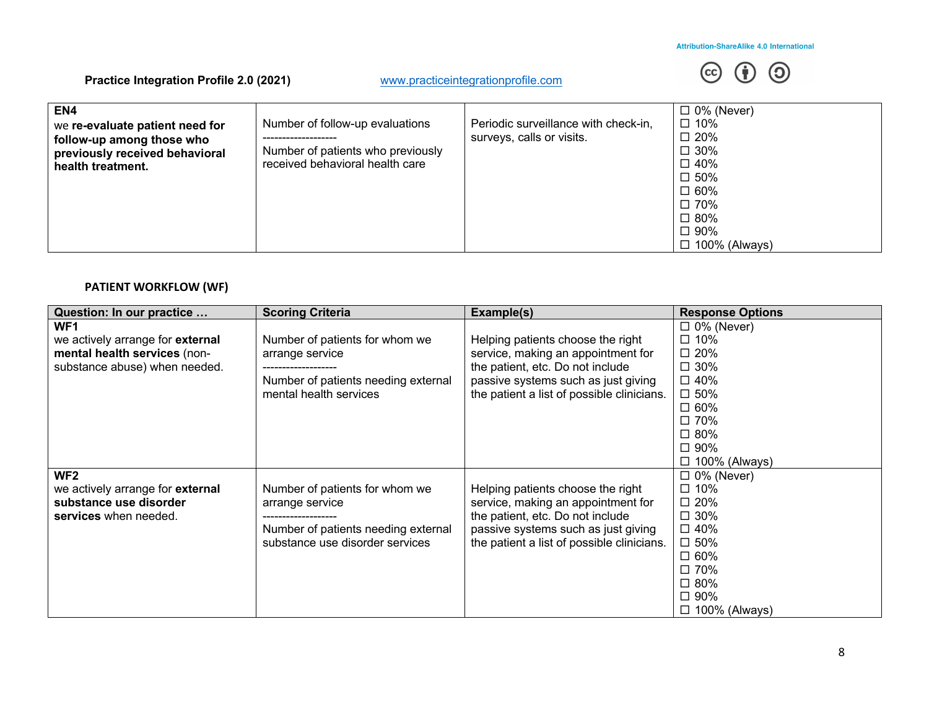

| EN4<br>we re-evaluate patient need for<br>follow-up among those who<br>previously received behavioral<br>health treatment. | Number of follow-up evaluations<br>Number of patients who previously<br>received behavioral health care | Periodic surveillance with check-in,<br>surveys, calls or visits. | $\Box$ 0% (Never)<br>□ 10%<br>$\square$ 20%<br>$\square$ 30%<br>$\Box$ 40%<br>□ 50%<br>□ 60%<br>□ 70%<br>□ 80%<br>$\Box$ 90%<br>$\Box$ 100% (Always) |
|----------------------------------------------------------------------------------------------------------------------------|---------------------------------------------------------------------------------------------------------|-------------------------------------------------------------------|------------------------------------------------------------------------------------------------------------------------------------------------------|
|----------------------------------------------------------------------------------------------------------------------------|---------------------------------------------------------------------------------------------------------|-------------------------------------------------------------------|------------------------------------------------------------------------------------------------------------------------------------------------------|

# **PATIENT WORKFLOW (WF)**

| Question: In our practice               | <b>Scoring Criteria</b>             | Example(s)                                 | <b>Response Options</b> |
|-----------------------------------------|-------------------------------------|--------------------------------------------|-------------------------|
| WF1                                     |                                     |                                            | $\Box$ 0% (Never)       |
| we actively arrange for <b>external</b> | Number of patients for whom we      | Helping patients choose the right          | $\square$ 10%           |
| mental health services (non-            | arrange service                     | service, making an appointment for         | $\square$ 20%           |
| substance abuse) when needed.           |                                     | the patient, etc. Do not include           | $\square$ 30%           |
|                                         | Number of patients needing external | passive systems such as just giving        | $\square$ 40%           |
|                                         | mental health services              | the patient a list of possible clinicians. | $\square$ 50%           |
|                                         |                                     |                                            | $\square$ 60%           |
|                                         |                                     |                                            | □ 70%                   |
|                                         |                                     |                                            | $\square$ 80%           |
|                                         |                                     |                                            | □ 90%                   |
|                                         |                                     |                                            | $\Box$ 100% (Always)    |
| WF <sub>2</sub>                         |                                     |                                            | $\Box$ 0% (Never)       |
| we actively arrange for <b>external</b> | Number of patients for whom we      | Helping patients choose the right          | $\square$ 10%           |
| substance use disorder                  | arrange service                     | service, making an appointment for         | $\square$ 20%           |
| services when needed.                   |                                     | the patient, etc. Do not include           | $\square$ 30%           |
|                                         | Number of patients needing external | passive systems such as just giving        | $\square$ 40%           |
|                                         | substance use disorder services     | the patient a list of possible clinicians. | $\square$ 50%           |
|                                         |                                     |                                            | $\square$ 60%           |
|                                         |                                     |                                            | □ 70%                   |
|                                         |                                     |                                            | $\square$ 80%           |
|                                         |                                     |                                            | $\square$ 90%           |
|                                         |                                     |                                            | $\square$ 100% (Always) |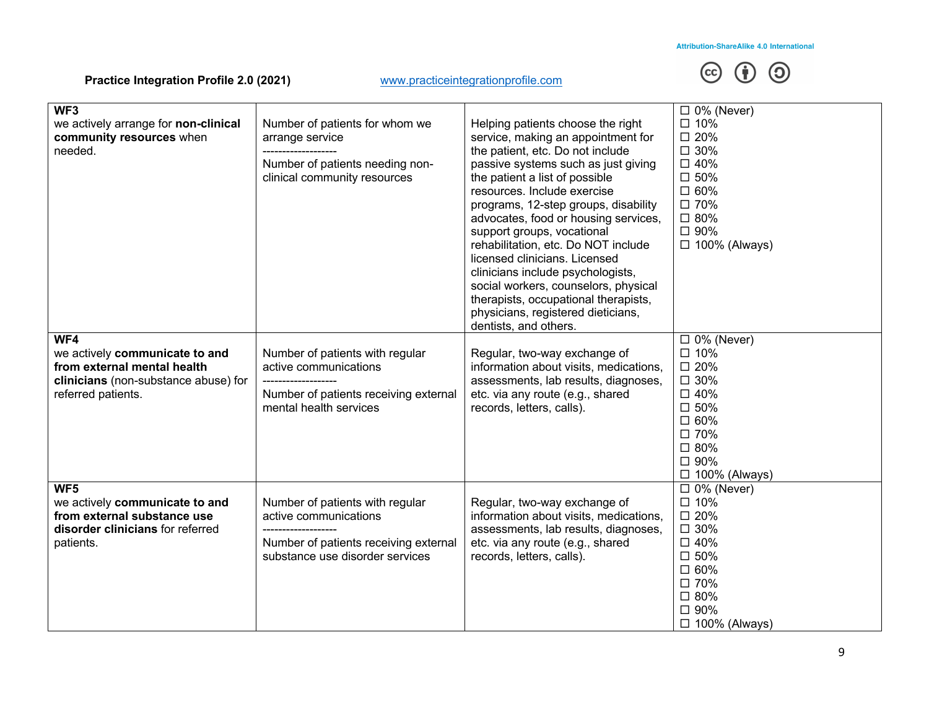

| WF3<br>we actively arrange for non-clinical<br>community resources when<br>needed.                                          | Number of patients for whom we<br>arrange service<br>Number of patients needing non-<br>clinical community resources                 | Helping patients choose the right<br>service, making an appointment for<br>the patient, etc. Do not include<br>passive systems such as just giving<br>the patient a list of possible<br>resources. Include exercise<br>programs, 12-step groups, disability<br>advocates, food or housing services,<br>support groups, vocational<br>rehabilitation, etc. Do NOT include<br>licensed clinicians. Licensed<br>clinicians include psychologists,<br>social workers, counselors, physical<br>therapists, occupational therapists,<br>physicians, registered dieticians,<br>dentists, and others. | $\Box$ 0% (Never)<br>$\square$ 10%<br>□ 20%<br>□ 30%<br>□ 40%<br>□ 50%<br>□ 60%<br>□ 70%<br>□ 80%<br>□ 90%<br>$\Box$ 100% (Always)         |
|-----------------------------------------------------------------------------------------------------------------------------|--------------------------------------------------------------------------------------------------------------------------------------|-----------------------------------------------------------------------------------------------------------------------------------------------------------------------------------------------------------------------------------------------------------------------------------------------------------------------------------------------------------------------------------------------------------------------------------------------------------------------------------------------------------------------------------------------------------------------------------------------|--------------------------------------------------------------------------------------------------------------------------------------------|
| WF4                                                                                                                         |                                                                                                                                      |                                                                                                                                                                                                                                                                                                                                                                                                                                                                                                                                                                                               | $\Box$ 0% (Never)                                                                                                                          |
| we actively communicate to and<br>from external mental health<br>clinicians (non-substance abuse) for<br>referred patients. | Number of patients with regular<br>active communications<br>Number of patients receiving external<br>mental health services          | Regular, two-way exchange of<br>information about visits, medications,<br>assessments, lab results, diagnoses,<br>etc. via any route (e.g., shared<br>records, letters, calls).                                                                                                                                                                                                                                                                                                                                                                                                               | □ 10%<br>□ 20%<br>□ 30%<br>□ 40%<br>□ 50%<br>□ 60%<br>□ 70%<br>□ 80%<br>□ 90%<br>$\Box$ 100% (Always)                                      |
| WF5<br>we actively communicate to and<br>from external substance use<br>disorder clinicians for referred<br>patients.       | Number of patients with regular<br>active communications<br>Number of patients receiving external<br>substance use disorder services | Regular, two-way exchange of<br>information about visits, medications,<br>assessments, lab results, diagnoses,<br>etc. via any route (e.g., shared<br>records, letters, calls).                                                                                                                                                                                                                                                                                                                                                                                                               | $\Box$ 0% (Never)<br>□ 10%<br>□ 20%<br>$\square$ 30%<br>□ 40%<br>$\square$ 50%<br>□ 60%<br>□ 70%<br>□ 80%<br>□ 90%<br>$\Box$ 100% (Always) |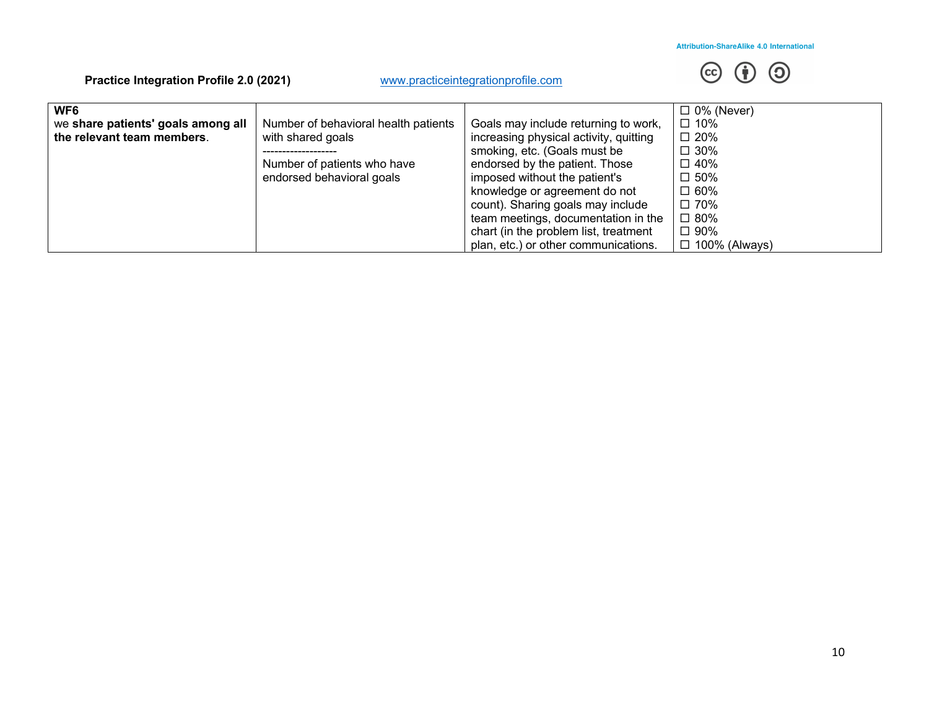

| WF <sub>6</sub>                    |                                      |                                        | $\Box$ 0% (Never)    |
|------------------------------------|--------------------------------------|----------------------------------------|----------------------|
| we share patients' goals among all | Number of behavioral health patients | Goals may include returning to work,   | $\Box$ 10%           |
| the relevant team members.         | with shared goals                    | increasing physical activity, quitting | $\Box$ 20%           |
|                                    |                                      | smoking, etc. (Goals must be           | $\Box$ 30%           |
|                                    | Number of patients who have          | endorsed by the patient. Those         | $\Box$ 40%           |
|                                    | endorsed behavioral goals            | imposed without the patient's          | $\square$ 50%        |
|                                    |                                      | knowledge or agreement do not          | $\square$ 60%        |
|                                    |                                      | count). Sharing goals may include      | □ 70%                |
|                                    |                                      | team meetings, documentation in the    | $\Box$ 80%           |
|                                    |                                      | chart (in the problem list, treatment  | $\square$ 90%        |
|                                    |                                      | plan, etc.) or other communications.   | $\Box$ 100% (Always) |